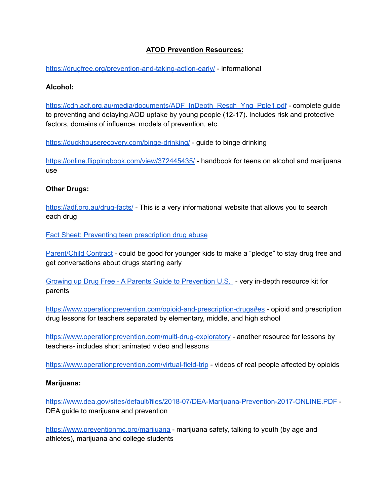# **ATOD Prevention Resources:**

<https://drugfree.org/prevention-and-taking-action-early/> - informational

## **Alcohol:**

[https://cdn.adf.org.au/media/documents/ADF\\_InDepth\\_Resch\\_Yng\\_Pple1.pdf](https://cdn.adf.org.au/media/documents/ADF_InDepth_Resch_Yng_Pple1.pdf) - complete guide to preventing and delaying AOD uptake by young people (12-17). Includes risk and protective factors, domains of influence, models of prevention, etc.

<https://duckhouserecovery.com/binge-drinking/> - guide to binge drinking

<https://online.flippingbook.com/view/372445435/> - handbook for teens on alcohol and marijuana use

## **Other Drugs:**

<https://adf.org.au/drug-facts/> - This is a very informational website that allows you to search each drug

Fact Sheet: Preventing teen [prescription](https://drugfreegeneration.org/file_download/d1eebdb4-eae3-4b51-896d-0e70a2bdba48) drug abuse

[Parent/Child](https://drugfreegeneration.org/file_download/91214904-4d6c-494f-832d-da53462990a2) Contract - could be good for younger kids to make a "pledge" to stay drug free and get conversations about drugs starting early

Growing up Drug Free - A Parents Guide to [Prevention](https://drugfreegeneration.org/file_download/a4ecf286-4c4d-4f01-9667-0cffea509325) U.S. - very in-depth resource kit for parents

<https://www.operationprevention.com/opioid-and-prescription-drugs#es> - opioid and prescription drug lessons for teachers separated by elementary, middle, and high school

<https://www.operationprevention.com/multi-drug-exploratory> - another resource for lessons by teachers- includes short animated video and lessons

<https://www.operationprevention.com/virtual-field-trip> - videos of real people affected by opioids

#### **Marijuana:**

<https://www.dea.gov/sites/default/files/2018-07/DEA-Marijuana-Prevention-2017-ONLINE.PDF> - DEA guide to marijuana and prevention

<https://www.preventionmc.org/marijuana> - marijuana safety, talking to youth (by age and athletes), marijuana and college students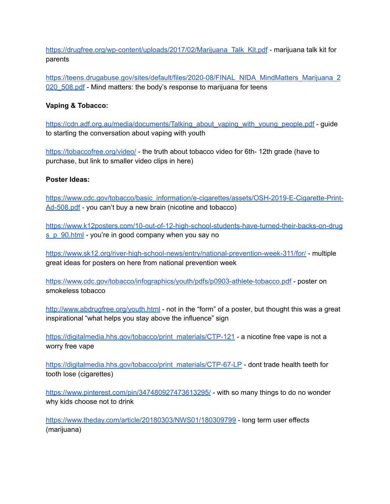[https://drugfree.org/wp-content/uploads/2017/02/Marijuana\\_Talk\\_Kit.pdf](https://drugfree.org/wp-content/uploads/2017/02/Marijuana_Talk_Kit.pdf) - marijuana talk kit for parents

[https://teens.drugabuse.gov/sites/default/files/2020-08/FINAL\\_NIDA\\_MindMatters\\_Marijuana\\_2](https://teens.drugabuse.gov/sites/default/files/2020-08/FINAL_NIDA_MindMatters_Marijuana_2020_508.pdf) 020 508.pdf - Mind matters: the body's response to marijuana for teens

## **Vaping & Tobacco:**

[https://cdn.adf.org.au/media/documents/Talking\\_about\\_vaping\\_with\\_young\\_people.pdf](https://cdn.adf.org.au/media/documents/Talking_about_vaping_with_young_people.pdf) - guide to starting the conversation about vaping with youth

<https://tobaccofree.org/video/> - the truth about tobacco video for 6th- 12th grade (have to purchase, but link to smaller video clips in here)

## **Poster Ideas:**

[https://www.cdc.gov/tobacco/basic\\_information/e-cigarettes/assets/OSH-2019-E-Cigarette-Print-](https://www.cdc.gov/tobacco/basic_information/e-cigarettes/assets/OSH-2019-E-Cigarette-Print-Ad-508.pdf)[Ad-508.pdf](https://www.cdc.gov/tobacco/basic_information/e-cigarettes/assets/OSH-2019-E-Cigarette-Print-Ad-508.pdf) - you can't buy a new brain (nicotine and tobacco)

[https://www.k12posters.com/10-out-of-12-high-school-students-have-turned-their-backs-on-drug](https://www.k12posters.com/10-out-of-12-high-school-students-have-turned-their-backs-on-drugs_p_90.html) [s\\_p\\_90.html](https://www.k12posters.com/10-out-of-12-high-school-students-have-turned-their-backs-on-drugs_p_90.html) - you're in good company when you say no

<https://www.sk12.org/river-high-school-news/entry/national-prevention-week-311/for/> - multiple great ideas for posters on here from national prevention week

<https://www.cdc.gov/tobacco/infographics/youth/pdfs/p0903-athlete-tobacco.pdf> - poster on smokeless tobacco

<http://www.abdrugfree.org/youth.html> - not in the "form" of a poster, but thought this was a great inspirational "what helps you stay above the influence" sign

[https://digitalmedia.hhs.gov/tobacco/print\\_materials/CTP-121](https://digitalmedia.hhs.gov/tobacco/print_materials/CTP-121) - a nicotine free vape is not a worry free vape

[https://digitalmedia.hhs.gov/tobacco/print\\_materials/CTP-67-LP](https://digitalmedia.hhs.gov/tobacco/print_materials/CTP-67-LP) - dont trade health teeth for tooth lose (cigarettes)

<https://www.pinterest.com/pin/347480927473613295/> - with so many things to do no wonder why kids choose not to drink

<https://www.theday.com/article/20180303/NWS01/180309799> - long term user effects (marijuana)